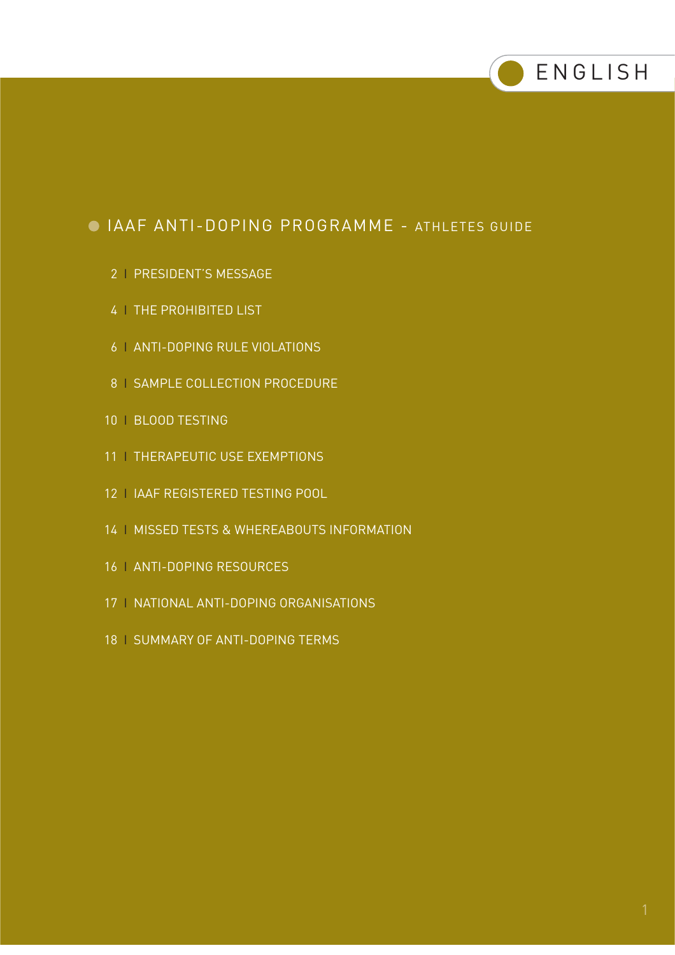

# IAAF ANTI-DOPING PROGRAMME - ATHLETES GUIDE

- 02 I PRESIDENT'S MESSAGE
- 04 I THE PROHIBITED LIST
- 06 I ANTI-DOPING RULE VIOLATIONS
- 08 I SAMPLE COLLECTION PROCEDURE
- 10 I BLOOD TESTING
- 11 | THERAPEUTIC USE EXEMPTIONS
- 12 I IAAF REGISTERED TESTING POOL
- 14 I MISSED TESTS & WHEREABOUTS INFORMATION
- 16 I ANTI-DOPING RESOURCES
- 17 I NATIONAL ANTI-DOPING ORGANISATIONS
- 18 I SUMMARY OF ANTI-DOPING TERMS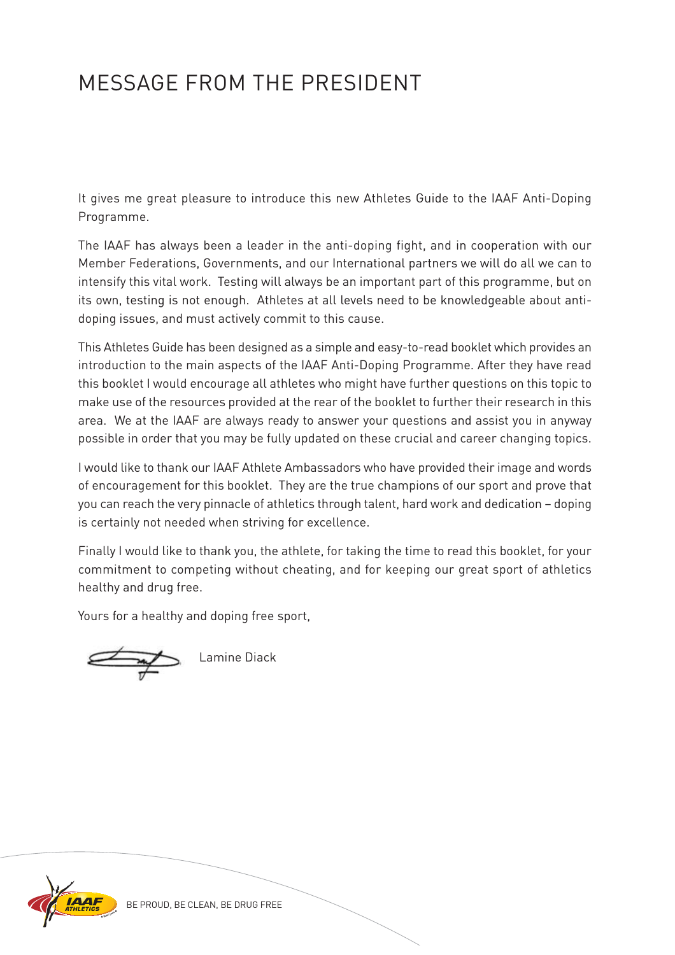# MESSAGE FROM THE PRESIDENT

It gives me great pleasure to introduce this new Athletes Guide to the IAAF Anti-Doping Programme.

The IAAF has always been a leader in the anti-doping fight, and in cooperation with our Member Federations, Governments, and our International partners we will do all we can to intensify this vital work. Testing will always be an important part of this programme, but on its own, testing is not enough. Athletes at all levels need to be knowledgeable about antidoping issues, and must actively commit to this cause.

This Athletes Guide has been designed as a simple and easy-to-read booklet which provides an introduction to the main aspects of the IAAF Anti-Doping Programme. After they have read this booklet I would encourage all athletes who might have further questions on this topic to make use of the resources provided at the rear of the booklet to further their research in this area. We at the IAAF are always ready to answer your questions and assist you in anyway possible in order that you may be fully updated on these crucial and career changing topics.

I would like to thank our IAAF Athlete Ambassadors who have provided their image and words of encouragement for this booklet. They are the true champions of our sport and prove that you can reach the very pinnacle of athletics through talent, hard work and dedication – doping is certainly not needed when striving for excellence.

Finally I would like to thank you, the athlete, for taking the time to read this booklet, for your commitment to competing without cheating, and for keeping our great sport of athletics healthy and drug free.

Yours for a healthy and doping free sport,



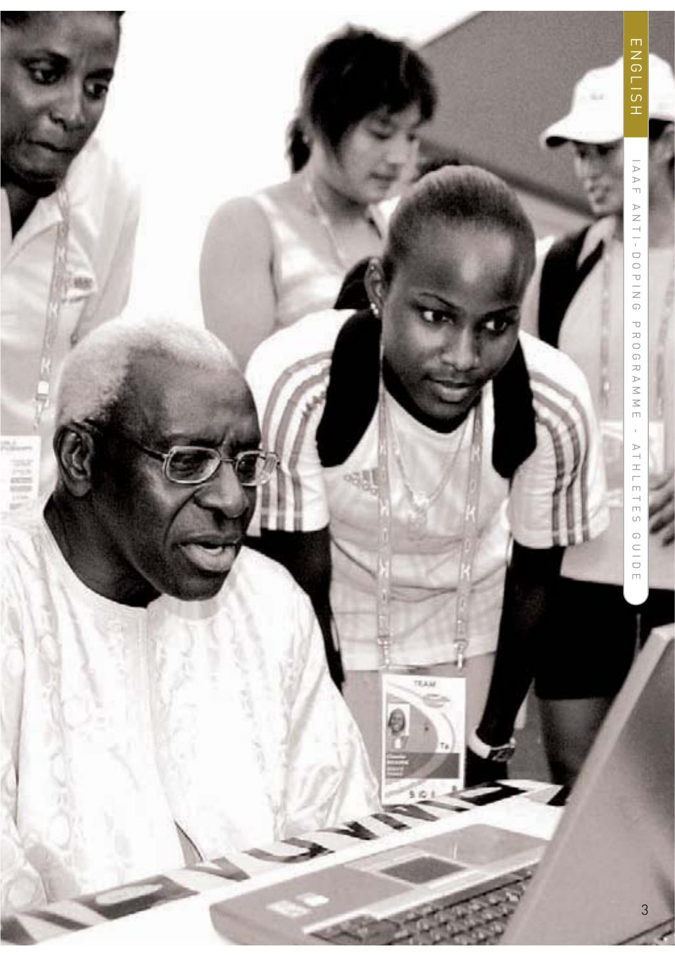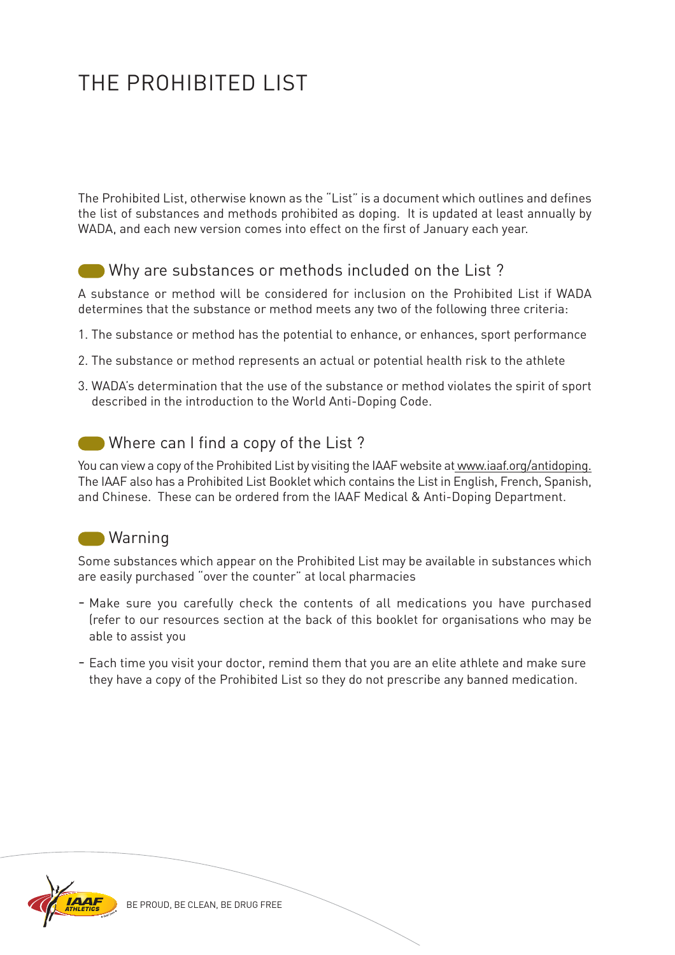# THE PROHIBITED LIST

The Prohibited List, otherwise known as the "List" is a document which outlines and defines the list of substances and methods prohibited as doping. It is updated at least annually by WADA, and each new version comes into effect on the first of January each year.

### Why are substances or methods included on the List?

A substance or method will be considered for inclusion on the Prohibited List if WADA determines that the substance or method meets any two of the following three criteria:

- 1. The substance or method has the potential to enhance, or enhances, sport performance
- 2. The substance or method represents an actual or potential health risk to the athlete
- 3. WADA's determination that the use of the substance or method violates the spirit of sport described in the introduction to the World Anti-Doping Code.

### Where can I find a copy of the List?

You can view a copy of the Prohibited List by visiting the IAAF website at www.iaaf.org/antidoping. The IAAF also has a Prohibited List Booklet which contains the List in English, French, Spanish, and Chinese. These can be ordered from the IAAF Medical & Anti-Doping Department.

# **Warning**

Some substances which appear on the Prohibited List may be available in substances which are easily purchased "over the counter" at local pharmacies

- Make sure you carefully check the contents of all medications you have purchased (refer to our resources section at the back of this booklet for organisations who may be able to assist you
- Each time you visit your doctor, remind them that you are an elite athlete and make sure they have a copy of the Prohibited List so they do not prescribe any banned medication.

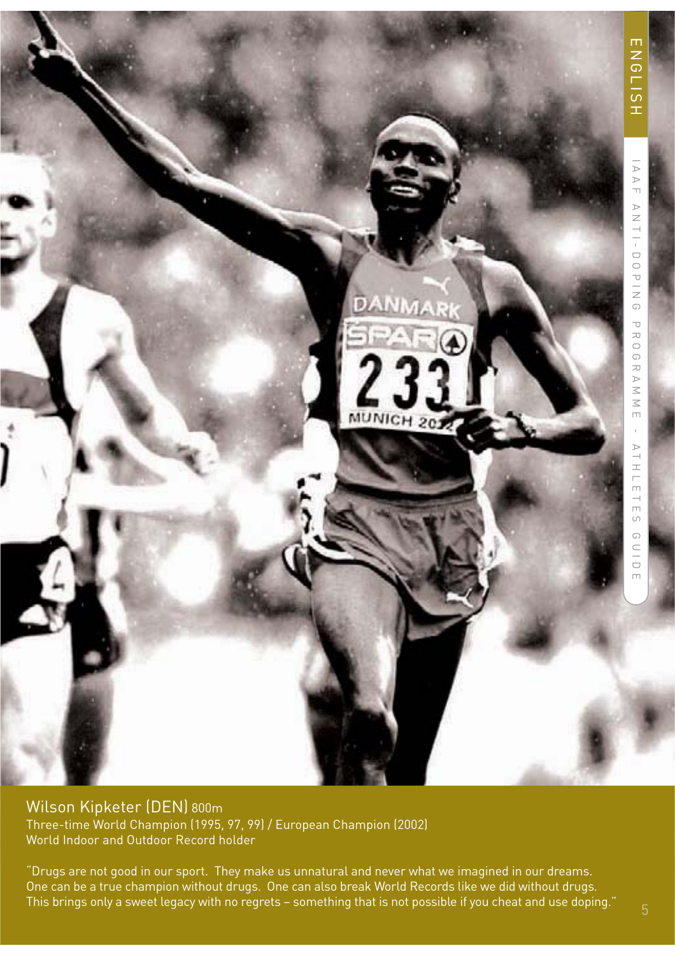

# Wilson Kipketer (DEN) 800m

Three-time World Champion (1995, 97, 99) / European Champion (2002) World Indoor and Outdoor Record holder

"Drugs are not good in our sport. They make us unnatural and never what we imagined in our dreams. One can be a true champion without drugs. One can also break World Records like we did without drugs. This brings only a sweet legacy with no regrets – something that is not possible if you cheat and use doping."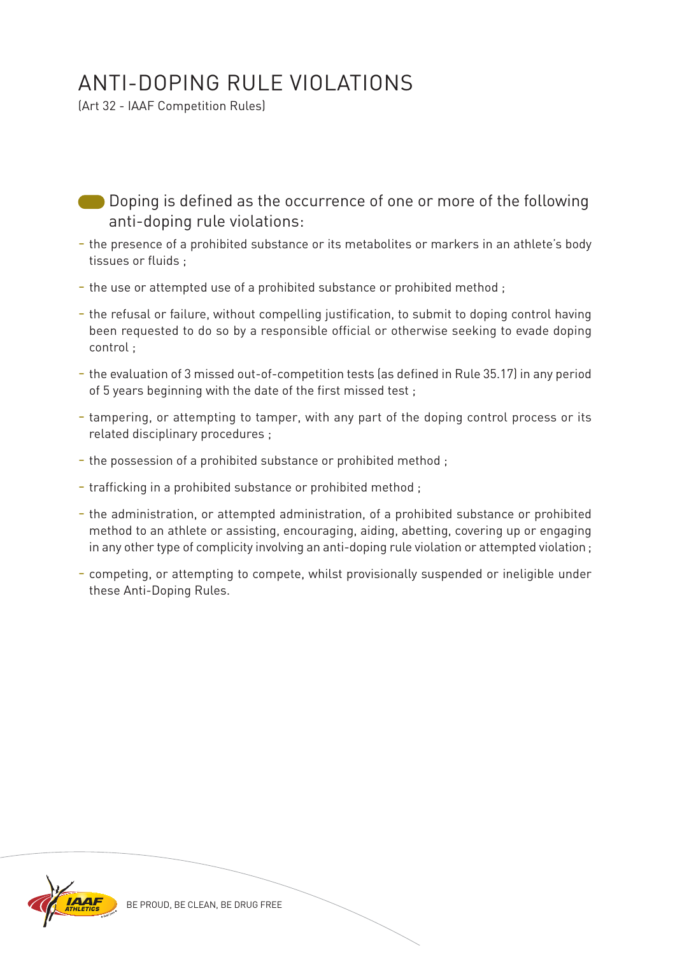# ANTI-DOPING RULE VIOLATIONS

(Art 32 - IAAF Competition Rules)

**ODOPING** Doping is defined as the occurrence of one or more of the following anti-doping rule violations:

- the presence of a prohibited substance or its metabolites or markers in an athlete's body tissues or fluids ;
- the use or attempted use of a prohibited substance or prohibited method ;
- the refusal or failure, without compelling justification, to submit to doping control having been requested to do so by a responsible official or otherwise seeking to evade doping control ;
- the evaluation of 3 missed out-of-competition tests (as defined in Rule 35.17) in any period of 5 years beginning with the date of the first missed test ;
- tampering, or attempting to tamper, with any part of the doping control process or its related disciplinary procedures ;
- the possession of a prohibited substance or prohibited method;
- trafficking in a prohibited substance or prohibited method ;
- the administration, or attempted administration, of a prohibited substance or prohibited method to an athlete or assisting, encouraging, aiding, abetting, covering up or engaging in any other type of complicity involving an anti-doping rule violation or attempted violation ;
- competing, or attempting to compete, whilst provisionally suspended or ineligible under these Anti-Doping Rules.

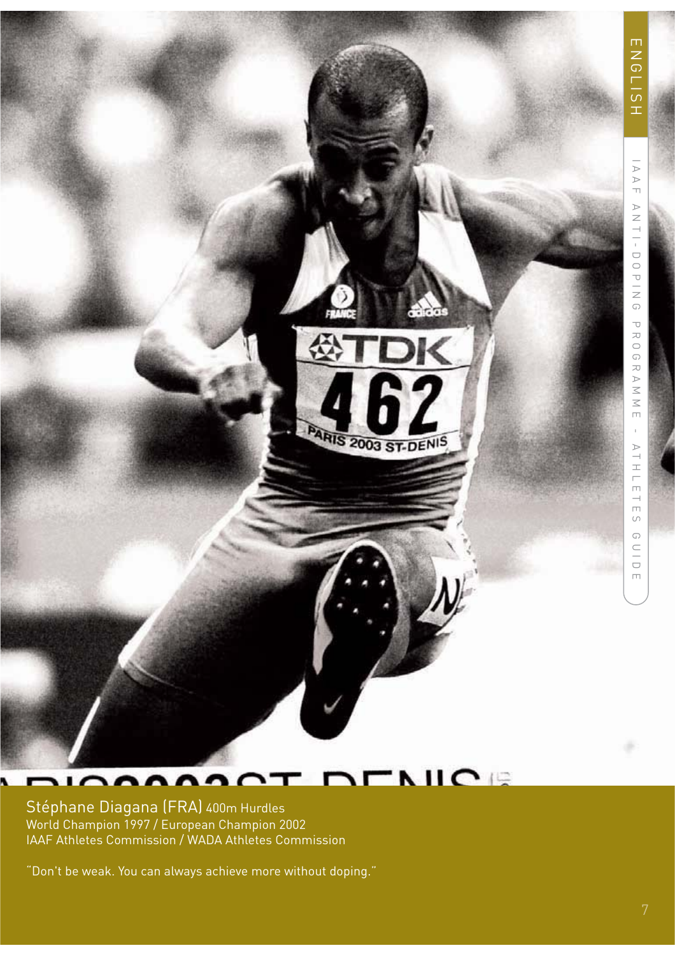

Stéphane Diagana (FRA) 400m Hurdles World Champion 1997 / European Champion 2002 IAAF Athletes Commission / WADA Athletes Commission

"Don't be weak. You can always achieve more without doping."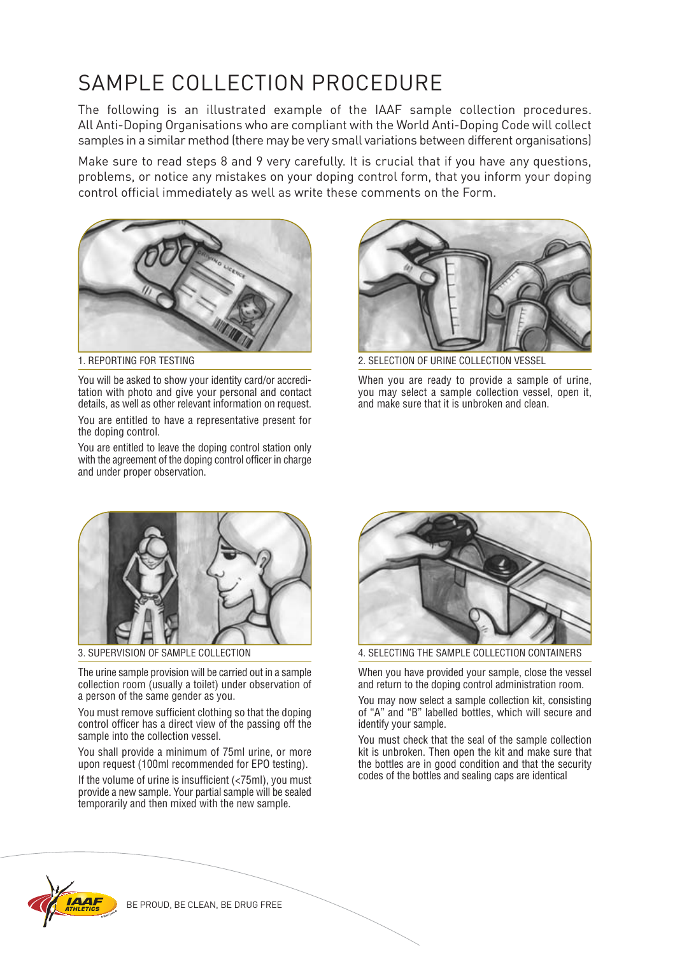# SAMPLE COLLECTION PROCEDURE

The following is an illustrated example of the IAAF sample collection procedures. All Anti-Doping Organisations who are compliant with the World Anti-Doping Code will collect samples in a similar method (there may be very small variations between different organisations)

Make sure to read steps 8 and 9 very carefully. It is crucial that if you have any questions, problems, or notice any mistakes on your doping control form, that you inform your doping control official immediately as well as write these comments on the Form.



1. REPORTING FOR TESTING

You will be asked to show your identity card/or accreditation with photo and give your personal and contact details, as well as other relevant information on request.

You are entitled to have a representative present for the doping control.

You are entitled to leave the doping control station only with the agreement of the doping control officer in charge and under proper observation.



2. SELECTION OF URINE COLLECTION VESSEL

When you are ready to provide a sample of urine, you may select a sample collection vessel, open it, and make sure that it is unbroken and clean.



3. SUPERVISION OF SAMPLE COLLECTION

The urine sample provision will be carried out in a sample collection room (usually a toilet) under observation of a person of the same gender as you.

You must remove sufficient clothing so that the doping control officer has a direct view of the passing off the sample into the collection vessel.

You shall provide a minimum of 75ml urine, or more upon request (100ml recommended for EPO testing).

If the volume of urine is insufficient (<75ml), you must provide a new sample. Your partial sample will be sealed temporarily and then mixed with the new sample.



4. SELECTING THE SAMPLE COLLECTION CONTAINERS

When you have provided your sample, close the vessel and return to the doping control administration room.

You may now select a sample collection kit, consisting of "A" and "B" labelled bottles, which will secure and identify your sample.

You must check that the seal of the sample collection kit is unbroken. Then open the kit and make sure that the bottles are in good condition and that the security codes of the bottles and sealing caps are identical

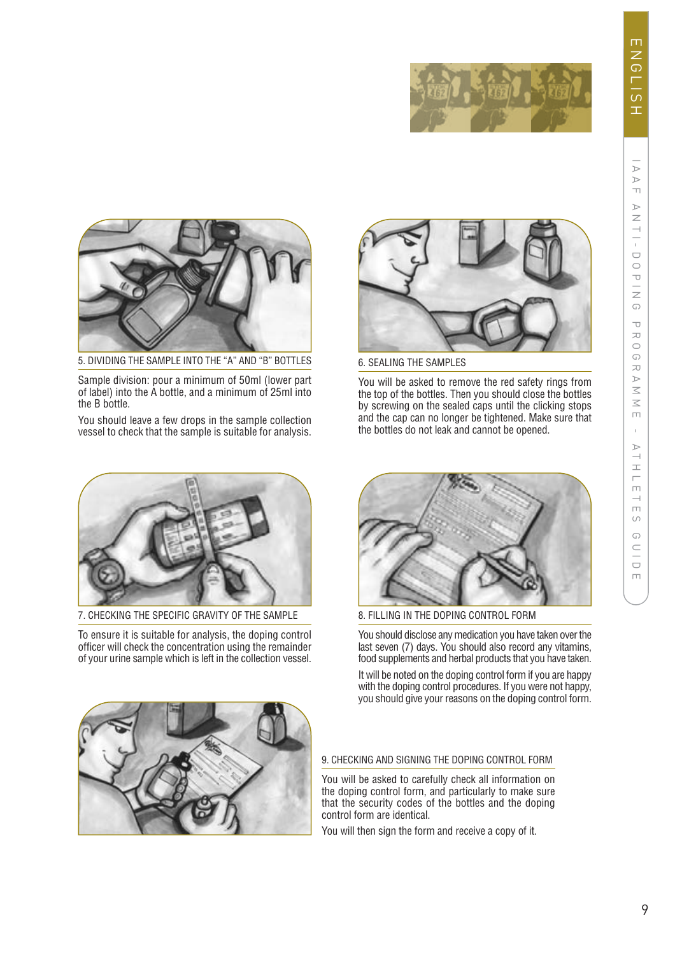



5. DIVIDING THE SAMPLE INTO THE "A" AND "B" BOTTLES

Sample division: pour a minimum of 50ml (lower part of label) into the A bottle, and a minimum of 25ml into the B bottle.

You should leave a few drops in the sample collection vessel to check that the sample is suitable for analysis.



You will be asked to remove the red safety rings from the top of the bottles. Then you should close the bottles by screwing on the sealed caps until the clicking stops and the cap can no longer be tightened. Make sure that the bottles do not leak and cannot be opened.



7. CHECKING THE SPECIFIC GRAVITY OF THE SAMPLE

To ensure it is suitable for analysis, the doping control officer will check the concentration using the remainder of your urine sample which is left in the collection vessel.



8. FILLING IN THE DOPING CONTROL FORM

You should disclose any medication you have taken over the last seven (7) days. You should also record any vitamins, food supplements and herbal products that you have taken.

It will be noted on the doping control form if you are happy with the doping control procedures. If you were not happy, you should give your reasons on the doping control form.



#### 9. CHECKING AND SIGNING THE DOPING CONTROL FORM

You will be asked to carefully check all information on the doping control form, and particularly to make sure that the security codes of the bottles and the doping control form are identical.

You will then sign the form and receive a copy of it.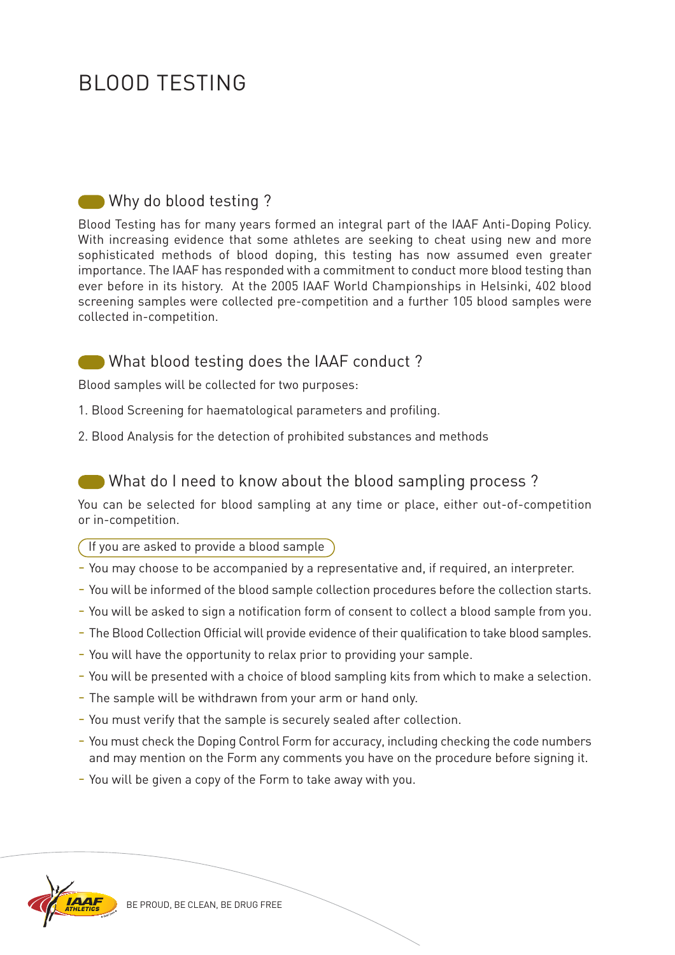# BLOOD TESTING

# Why do blood testing?

Blood Testing has for many years formed an integral part of the IAAF Anti-Doping Policy. With increasing evidence that some athletes are seeking to cheat using new and more sophisticated methods of blood doping, this testing has now assumed even greater importance. The IAAF has responded with a commitment to conduct more blood testing than ever before in its history. At the 2005 IAAF World Championships in Helsinki, 402 blood screening samples were collected pre-competition and a further 105 blood samples were collected in-competition.

### What blood testing does the IAAF conduct?

Blood samples will be collected for two purposes:

- 1. Blood Screening for haematological parameters and profiling.
- 2. Blood Analysis for the detection of prohibited substances and methods

### What do I need to know about the blood sampling process?

You can be selected for blood sampling at any time or place, either out-of-competition or in-competition.

#### If you are asked to provide a blood sample

- You may choose to be accompanied by a representative and, if required, an interpreter.
- You will be informed of the blood sample collection procedures before the collection starts.
- You will be asked to sign a notification form of consent to collect a blood sample from you.
- The Blood Collection Official will provide evidence of their qualification to take blood samples.
- You will have the opportunity to relax prior to providing your sample.
- You will be presented with a choice of blood sampling kits from which to make a selection.
- The sample will be withdrawn from your arm or hand only.
- You must verify that the sample is securely sealed after collection.
- You must check the Doping Control Form for accuracy, including checking the code numbers and may mention on the Form any comments you have on the procedure before signing it.
- You will be given a copy of the Form to take away with you.

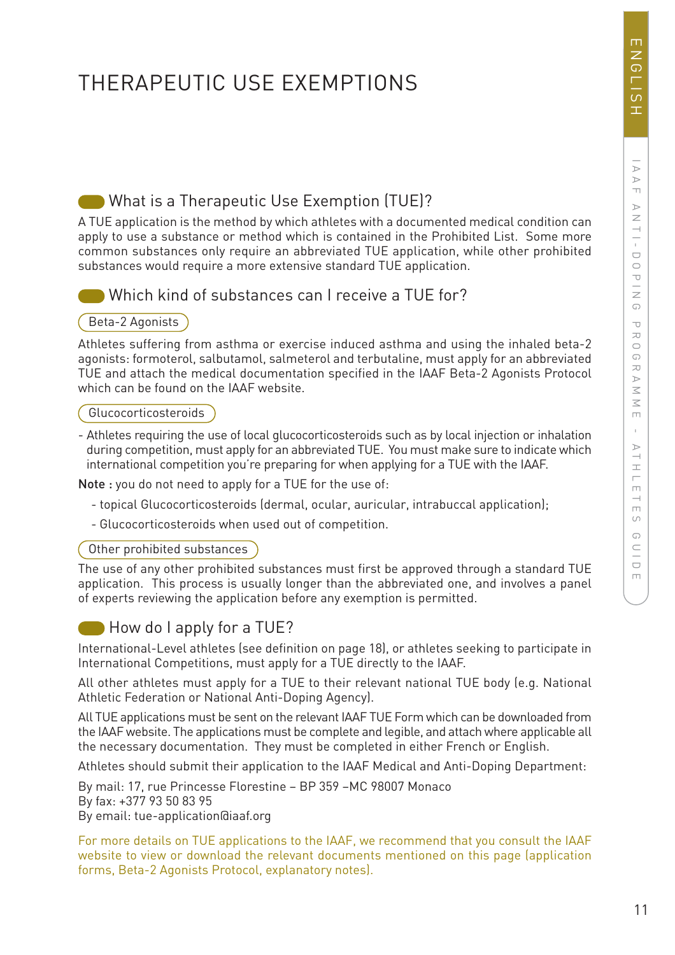# THERAPEUTIC USE EXEMPTIONS

# What is a Therapeutic Use Exemption (TUE)?

A TUE application is the method by which athletes with a documented medical condition can apply to use a substance or method which is contained in the Prohibited List. Some more common substances only require an abbreviated TUE application, while other prohibited substances would require a more extensive standard TUE application.

### Which kind of substances can I receive a TUE for?

### Beta-2 Agonists

Athletes suffering from asthma or exercise induced asthma and using the inhaled beta-2 agonists: formoterol, salbutamol, salmeterol and terbutaline, must apply for an abbreviated TUE and attach the medical documentation specified in the IAAF Beta-2 Agonists Protocol which can be found on the IAAF website.

#### Glucocorticosteroids

- Athletes requiring the use of local glucocorticosteroids such as by local injection or inhalation during competition, must apply for an abbreviated TUE. You must make sure to indicate which international competition you're preparing for when applying for a TUE with the IAAF.

Note : you do not need to apply for a TUE for the use of:

- topical Glucocorticosteroids (dermal, ocular, auricular, intrabuccal application);
- Glucocorticosteroids when used out of competition.

#### Other prohibited substances

The use of any other prohibited substances must first be approved through a standard TUE application. This process is usually longer than the abbreviated one, and involves a panel of experts reviewing the application before any exemption is permitted.

### **Now do I apply for a TUE?**

International-Level athletes (see definition on page 18), or athletes seeking to participate in International Competitions, must apply for a TUE directly to the IAAF.

All other athletes must apply for a TUE to their relevant national TUE body (e.g. National Athletic Federation or National Anti-Doping Agency).

All TUE applications must be sent on the relevant IAAF TUE Form which can be downloaded from the IAAF website. The applications must be complete and legible, and attach where applicable all the necessary documentation. They must be completed in either French or English.

Athletes should submit their application to the IAAF Medical and Anti-Doping Department:

By mail: 17, rue Princesse Florestine – BP 359 –MC 98007 Monaco By fax: +377 93 50 83 95 By email: tue-application@iaaf.org

For more details on TUE applications to the IAAF, we recommend that you consult the IAAF website to view or download the relevant documents mentioned on this page (application forms, Beta-2 Agonists Protocol, explanatory notes).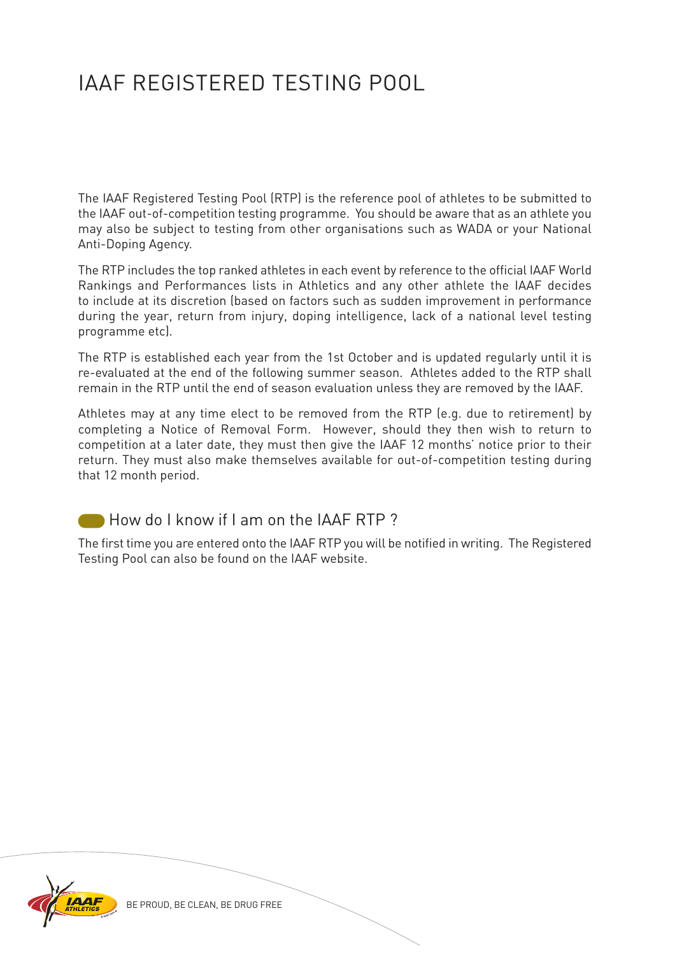# IAAF REGISTERED TESTING POOL

The IAAF Registered Testing Pool (RTP) is the reference pool of athletes to be submitted to the IAAF out-of-competition testing programme. You should be aware that as an athlete you may also be subject to testing from other organisations such as WADA or your National Anti-Doping Agency.

The RTP includes the top ranked athletes in each event by reference to the official IAAF World Rankings and Performances lists in Athletics and any other athlete the IAAF decides to include at its discretion (based on factors such as sudden improvement in performance during the year, return from injury, doping intelligence, lack of a national level testing programme etc).

The RTP is established each year from the 1st October and is updated regularly until it is re-evaluated at the end of the following summer season. Athletes added to the RTP shall remain in the RTP until the end of season evaluation unless they are removed by the IAAF.

Athletes may at any time elect to be removed from the RTP (e.g. due to retirement) by completing a Notice of Removal Form. However, should they then wish to return to competition at a later date, they must then give the IAAF 12 months' notice prior to their return. They must also make themselves available for out-of-competition testing during that 12 month period.

### How do I know if I am on the IAAF RTP ?

The first time you are entered onto the IAAF RTP you will be notified in writing. The Registered Testing Pool can also be found on the IAAF website.

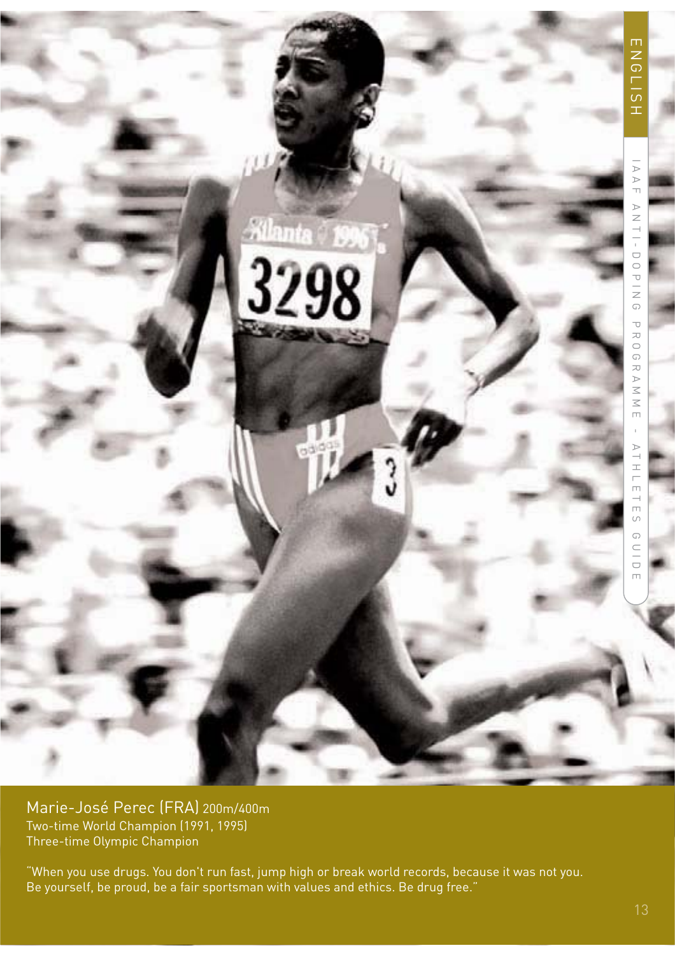

Marie-José Perec (FRA) 200m/400m Two-time World Champion (1991, 1995) Three-time Olympic Champion

"When you use drugs. You don't run fast, jump high or break world records, because it was not you. Be yourself, be proud, be a fair sportsman with values and ethics. Be drug free."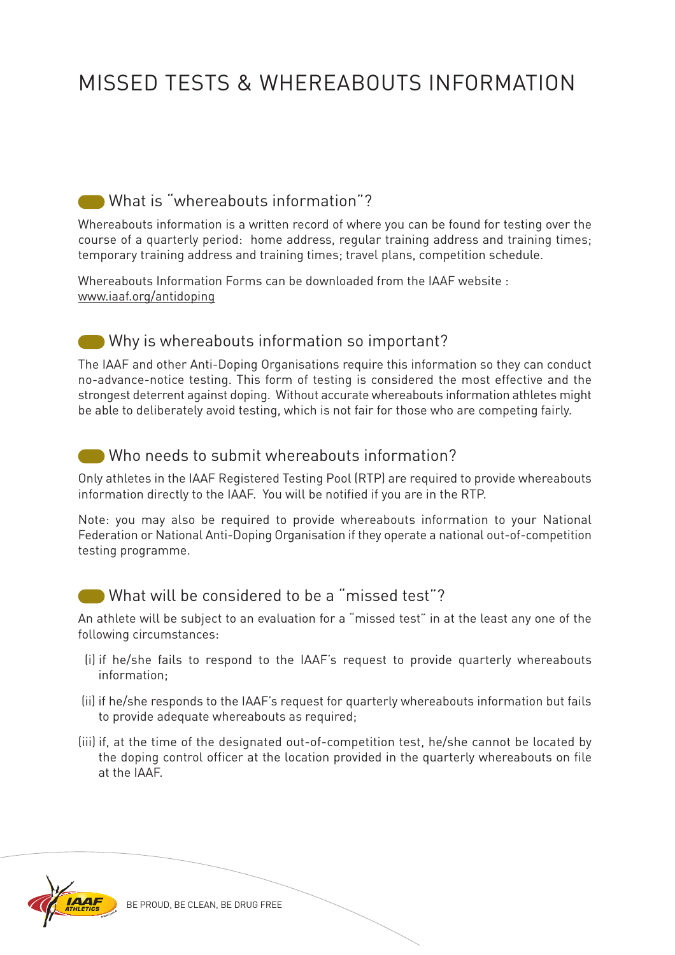# MISSED TESTS & WHEREABOUTS INFORMATION

# What is "whereabouts information"?

Whereabouts information is a written record of where you can be found for testing over the course of a quarterly period: home address, regular training address and training times; temporary training address and training times; travel plans, competition schedule.

Whereabouts Information Forms can be downloaded from the IAAF website : www.iaaf.org/antidoping

### Why is whereabouts information so important?

The IAAF and other Anti-Doping Organisations require this information so they can conduct no-advance-notice testing. This form of testing is considered the most effective and the strongest deterrent against doping. Without accurate whereabouts information athletes might be able to deliberately avoid testing, which is not fair for those who are competing fairly.

### Who needs to submit whereabouts information?

Only athletes in the IAAF Registered Testing Pool (RTP) are required to provide whereabouts information directly to the IAAF. You will be notified if you are in the RTP.

Note: you may also be required to provide whereabouts information to your National Federation or National Anti-Doping Organisation if they operate a national out-of-competition testing programme.

## What will be considered to be a "missed test"?

An athlete will be subject to an evaluation for a "missed test" in at the least any one of the following circumstances:

- (i) if he/she fails to respond to the IAAF's request to provide quarterly whereabouts information;
- (ii) if he/she responds to the IAAF's request for quarterly whereabouts information but fails to provide adequate whereabouts as required;
- (iii) if, at the time of the designated out-of-competition test, he/she cannot be located by the doping control officer at the location provided in the quarterly whereabouts on file at the IAAF.

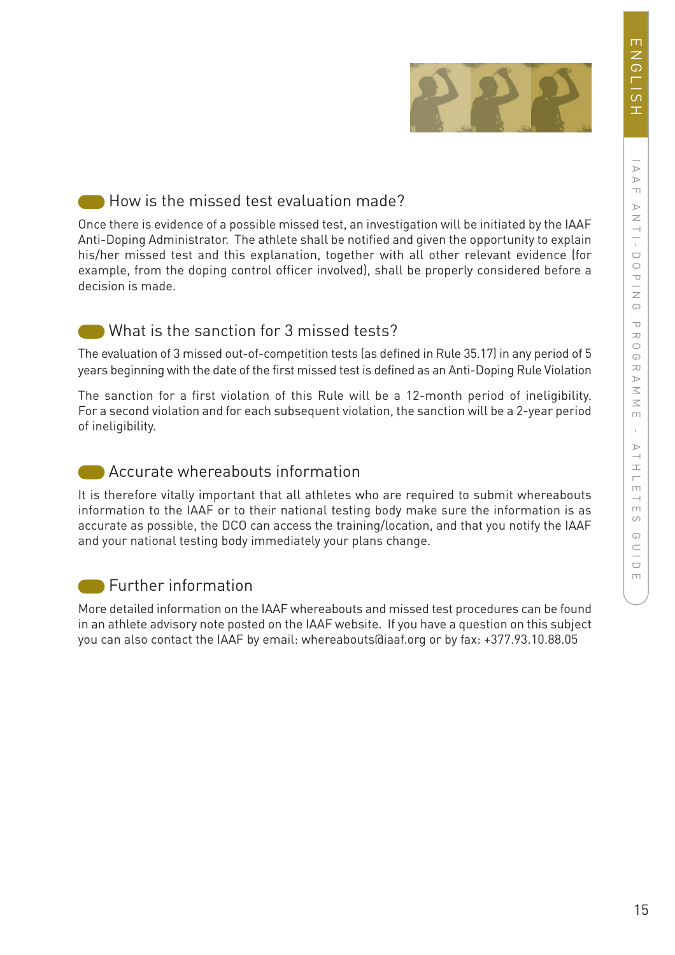

# **How is the missed test evaluation made?**

Once there is evidence of a possible missed test, an investigation will be initiated by the IAAF Anti-Doping Administrator. The athlete shall be notified and given the opportunity to explain his/her missed test and this explanation, together with all other relevant evidence (for example, from the doping control officer involved), shall be properly considered before a decision is made.

# What is the sanction for 3 missed tests?

The evaluation of 3 missed out-of-competition tests (as defined in Rule 35.17) in any period of 5 years beginning with the date of the first missed test is defined as an Anti-Doping Rule Violation

The sanction for a first violation of this Rule will be a 12-month period of ineligibility. For a second violation and for each subsequent violation, the sanction will be a 2-year period of ineligibility.

# Accurate whereabouts information

It is therefore vitally important that all athletes who are required to submit whereabouts information to the IAAF or to their national testing body make sure the information is as accurate as possible, the DCO can access the training/location, and that you notify the IAAF and your national testing body immediately your plans change.

# Further information

More detailed information on the IAAF whereabouts and missed test procedures can be found in an athlete advisory note posted on the IAAF website. If you have a question on this subject you can also contact the IAAF by email: whereabouts@iaaf.org or by fax: +377.93.10.88.05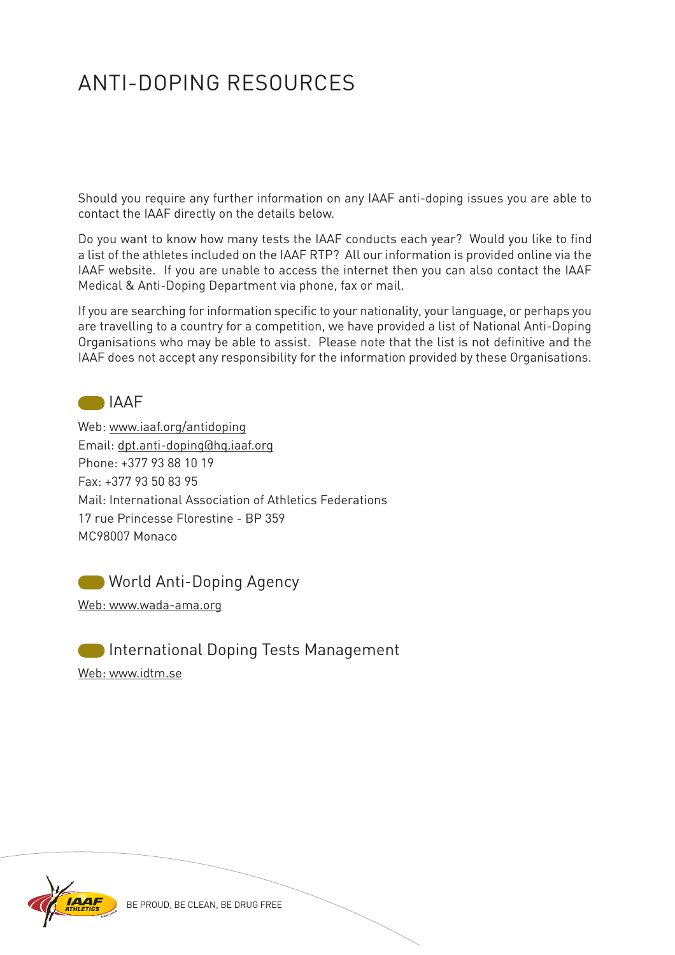# ANTI-DOPING RESOURCES

Should you require any further information on any IAAF anti-doping issues you are able to contact the IAAF directly on the details below.

Do you want to know how many tests the IAAF conducts each year? Would you like to find a list of the athletes included on the IAAF RTP? All our information is provided online via the IAAF website. If you are unable to access the internet then you can also contact the IAAF Medical & Anti-Doping Department via phone, fax or mail.

If you are searching for information specific to your nationality, your language, or perhaps you are travelling to a country for a competition, we have provided a list of National Anti-Doping Organisations who may be able to assist. Please note that the list is not definitive and the IAAF does not accept any responsibility for the information provided by these Organisations.

**IAAF** 

Web: www.iaaf.org/antidoping Email: dpt.anti-doping@hq.iaaf.org Phone: +377 93 88 10 19 Fax: +377 93 50 83 95 Mail: International Association of Athletics Federations 17 rue Princesse Florestine - BP 359 MC98007 Monaco

World Anti-Doping Agency Web: www.wada-ama.org

**International Doping Tests Management** 

Web: www.idtm.se